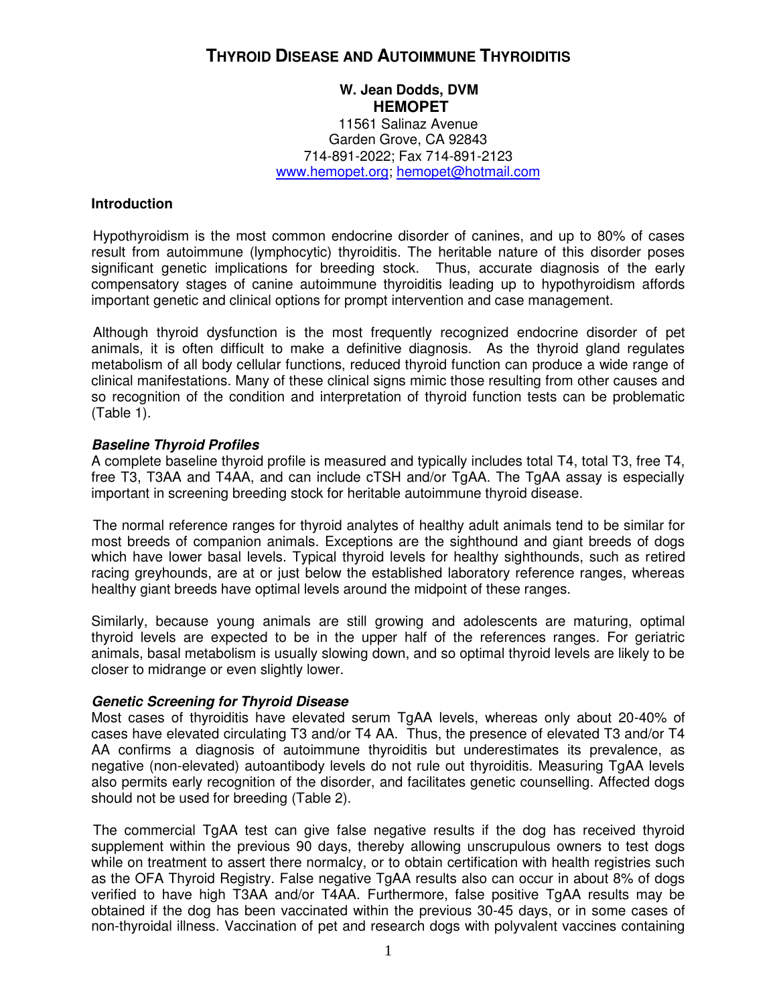# **THYROID DISEASE AND AUTOIMMUNE THYROIDITIS**

# **W. Jean Dodds, DVM HEMOPET**

11561 Salinaz Avenue Garden Grove, CA 92843 714-891-2022; Fax 714-891-2123 [www.hemopet.org;](http://www.hemopet.com/) hemopet@hotmail.com

# **Introduction**

Hypothyroidism is the most common endocrine disorder of canines, and up to 80% of cases result from autoimmune (lymphocytic) thyroiditis. The heritable nature of this disorder poses significant genetic implications for breeding stock. Thus, accurate diagnosis of the early compensatory stages of canine autoimmune thyroiditis leading up to hypothyroidism affords important genetic and clinical options for prompt intervention and case management.

Although thyroid dysfunction is the most frequently recognized endocrine disorder of pet animals, it is often difficult to make a definitive diagnosis. As the thyroid gland regulates metabolism of all body cellular functions, reduced thyroid function can produce a wide range of clinical manifestations. Many of these clinical signs mimic those resulting from other causes and so recognition of the condition and interpretation of thyroid function tests can be problematic (Table 1).

# *Baseline Thyroid Profiles*

A complete baseline thyroid profile is measured and typically includes total T4, total T3, free T4, free T3, T3AA and T4AA, and can include cTSH and/or TgAA. The TgAA assay is especially important in screening breeding stock for heritable autoimmune thyroid disease.

The normal reference ranges for thyroid analytes of healthy adult animals tend to be similar for most breeds of companion animals. Exceptions are the sighthound and giant breeds of dogs which have lower basal levels. Typical thyroid levels for healthy sighthounds, such as retired racing greyhounds, are at or just below the established laboratory reference ranges, whereas healthy giant breeds have optimal levels around the midpoint of these ranges.

Similarly, because young animals are still growing and adolescents are maturing, optimal thyroid levels are expected to be in the upper half of the references ranges. For geriatric animals, basal metabolism is usually slowing down, and so optimal thyroid levels are likely to be closer to midrange or even slightly lower.

# *Genetic Screening for Thyroid Disease*

Most cases of thyroiditis have elevated serum TgAA levels, whereas only about 20-40% of cases have elevated circulating T3 and/or T4 AA. Thus, the presence of elevated T3 and/or T4 AA confirms a diagnosis of autoimmune thyroiditis but underestimates its prevalence, as negative (non-elevated) autoantibody levels do not rule out thyroiditis. Measuring TgAA levels also permits early recognition of the disorder, and facilitates genetic counselling. Affected dogs should not be used for breeding (Table 2).

The commercial TgAA test can give false negative results if the dog has received thyroid supplement within the previous 90 days, thereby allowing unscrupulous owners to test dogs while on treatment to assert there normalcy, or to obtain certification with health registries such as the OFA Thyroid Registry. False negative TgAA results also can occur in about 8% of dogs verified to have high T3AA and/or T4AA. Furthermore, false positive TgAA results may be obtained if the dog has been vaccinated within the previous 30-45 days, or in some cases of non-thyroidal illness. Vaccination of pet and research dogs with polyvalent vaccines containing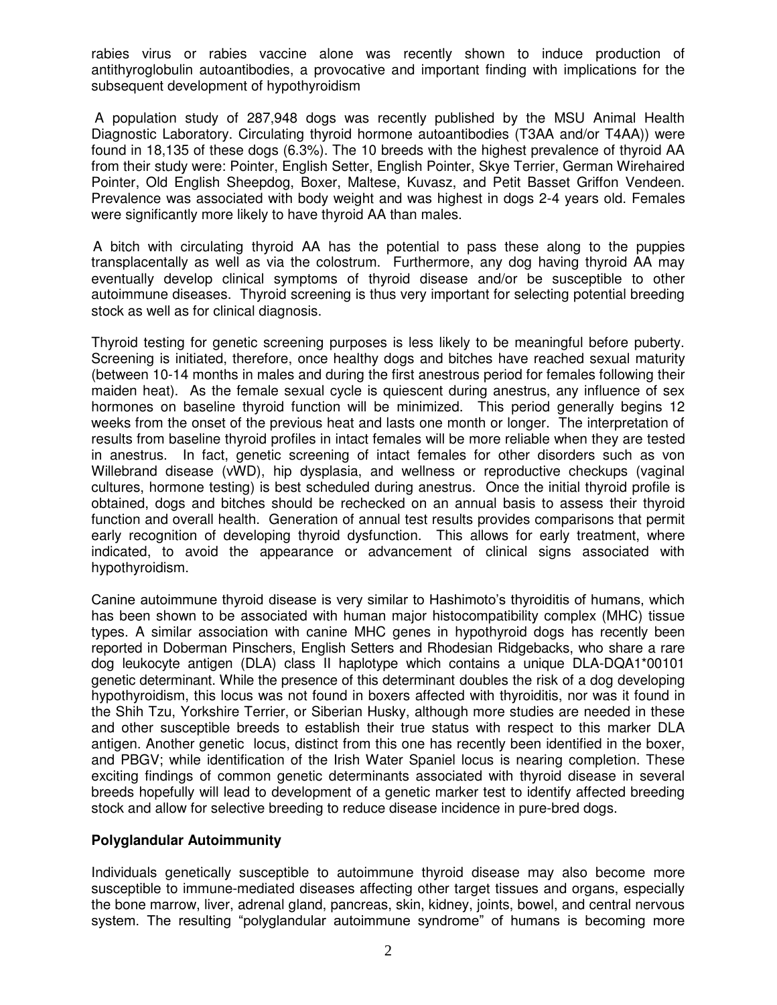rabies virus or rabies vaccine alone was recently shown to induce production of antithyroglobulin autoantibodies, a provocative and important finding with implications for the subsequent development of hypothyroidism

A population study of 287,948 dogs was recently published by the MSU Animal Health Diagnostic Laboratory. Circulating thyroid hormone autoantibodies (T3AA and/or T4AA)) were found in 18,135 of these dogs (6.3%). The 10 breeds with the highest prevalence of thyroid AA from their study were: Pointer, English Setter, English Pointer, Skye Terrier, German Wirehaired Pointer, Old English Sheepdog, Boxer, Maltese, Kuvasz, and Petit Basset Griffon Vendeen. Prevalence was associated with body weight and was highest in dogs 2-4 years old. Females were significantly more likely to have thyroid AA than males.

A bitch with circulating thyroid AA has the potential to pass these along to the puppies transplacentally as well as via the colostrum. Furthermore, any dog having thyroid AA may eventually develop clinical symptoms of thyroid disease and/or be susceptible to other autoimmune diseases. Thyroid screening is thus very important for selecting potential breeding stock as well as for clinical diagnosis.

Thyroid testing for genetic screening purposes is less likely to be meaningful before puberty. Screening is initiated, therefore, once healthy dogs and bitches have reached sexual maturity (between 10-14 months in males and during the first anestrous period for females following their maiden heat). As the female sexual cycle is quiescent during anestrus, any influence of sex hormones on baseline thyroid function will be minimized. This period generally begins 12 weeks from the onset of the previous heat and lasts one month or longer. The interpretation of results from baseline thyroid profiles in intact females will be more reliable when they are tested in anestrus. In fact, genetic screening of intact females for other disorders such as von Willebrand disease (vWD), hip dysplasia, and wellness or reproductive checkups (vaginal cultures, hormone testing) is best scheduled during anestrus. Once the initial thyroid profile is obtained, dogs and bitches should be rechecked on an annual basis to assess their thyroid function and overall health. Generation of annual test results provides comparisons that permit early recognition of developing thyroid dysfunction. This allows for early treatment, where indicated, to avoid the appearance or advancement of clinical signs associated with hypothyroidism.

Canine autoimmune thyroid disease is very similar to Hashimoto's thyroiditis of humans, which has been shown to be associated with human major histocompatibility complex (MHC) tissue types. A similar association with canine MHC genes in hypothyroid dogs has recently been reported in Doberman Pinschers, English Setters and Rhodesian Ridgebacks, who share a rare dog leukocyte antigen (DLA) class II haplotype which contains a unique DLA-DQA1\*00101 genetic determinant. While the presence of this determinant doubles the risk of a dog developing hypothyroidism, this locus was not found in boxers affected with thyroiditis, nor was it found in the Shih Tzu, Yorkshire Terrier, or Siberian Husky, although more studies are needed in these and other susceptible breeds to establish their true status with respect to this marker DLA antigen. Another genetic locus, distinct from this one has recently been identified in the boxer, and PBGV; while identification of the Irish Water Spaniel locus is nearing completion. These exciting findings of common genetic determinants associated with thyroid disease in several breeds hopefully will lead to development of a genetic marker test to identify affected breeding stock and allow for selective breeding to reduce disease incidence in pure-bred dogs.

# **Polyglandular Autoimmunity**

Individuals genetically susceptible to autoimmune thyroid disease may also become more susceptible to immune-mediated diseases affecting other target tissues and organs, especially the bone marrow, liver, adrenal gland, pancreas, skin, kidney, joints, bowel, and central nervous system. The resulting "polyglandular autoimmune syndrome" of humans is becoming more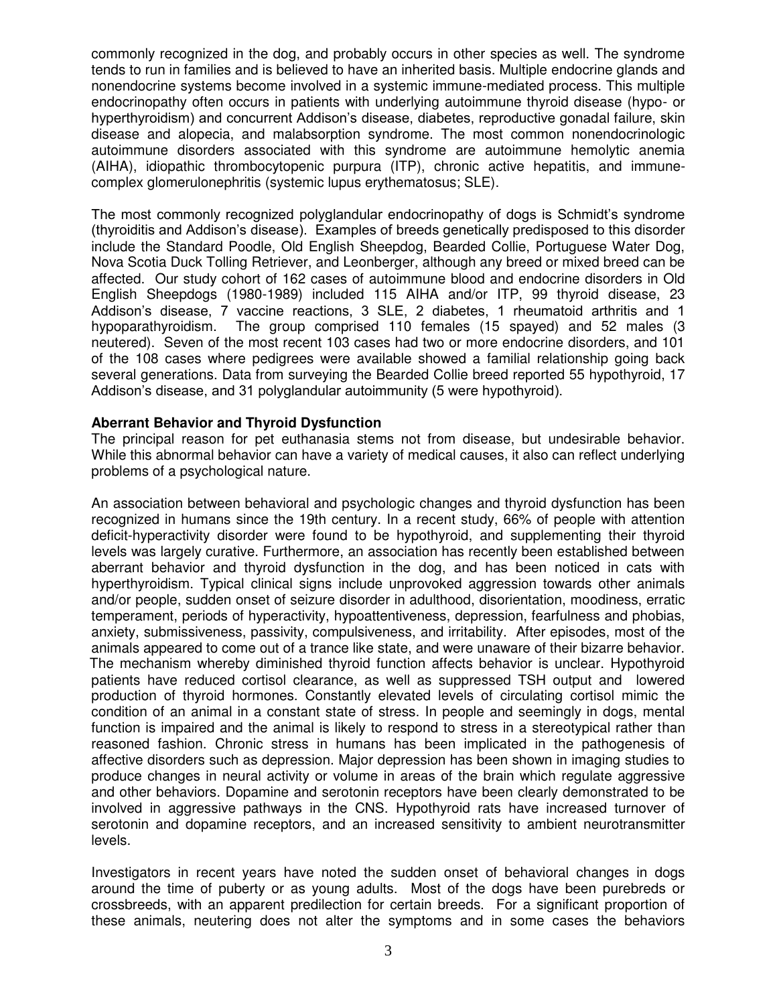commonly recognized in the dog, and probably occurs in other species as well. The syndrome tends to run in families and is believed to have an inherited basis. Multiple endocrine glands and nonendocrine systems become involved in a systemic immune-mediated process. This multiple endocrinopathy often occurs in patients with underlying autoimmune thyroid disease (hypo- or hyperthyroidism) and concurrent Addison's disease, diabetes, reproductive gonadal failure, skin disease and alopecia, and malabsorption syndrome. The most common nonendocrinologic autoimmune disorders associated with this syndrome are autoimmune hemolytic anemia (AIHA), idiopathic thrombocytopenic purpura (ITP), chronic active hepatitis, and immunecomplex glomerulonephritis (systemic lupus erythematosus; SLE).

The most commonly recognized polyglandular endocrinopathy of dogs is Schmidt's syndrome (thyroiditis and Addison's disease). Examples of breeds genetically predisposed to this disorder include the Standard Poodle, Old English Sheepdog, Bearded Collie, Portuguese Water Dog, Nova Scotia Duck Tolling Retriever, and Leonberger, although any breed or mixed breed can be affected. Our study cohort of 162 cases of autoimmune blood and endocrine disorders in Old English Sheepdogs (1980-1989) included 115 AIHA and/or ITP, 99 thyroid disease, 23 Addison's disease, 7 vaccine reactions, 3 SLE, 2 diabetes, 1 rheumatoid arthritis and 1 hypoparathyroidism. The group comprised 110 females (15 spayed) and 52 males (3 neutered). Seven of the most recent 103 cases had two or more endocrine disorders, and 101 of the 108 cases where pedigrees were available showed a familial relationship going back several generations. Data from surveying the Bearded Collie breed reported 55 hypothyroid, 17 Addison's disease, and 31 polyglandular autoimmunity (5 were hypothyroid).

## **Aberrant Behavior and Thyroid Dysfunction**

The principal reason for pet euthanasia stems not from disease, but undesirable behavior. While this abnormal behavior can have a variety of medical causes, it also can reflect underlying problems of a psychological nature.

An association between behavioral and psychologic changes and thyroid dysfunction has been recognized in humans since the 19th century. In a recent study, 66% of people with attention deficit-hyperactivity disorder were found to be hypothyroid, and supplementing their thyroid levels was largely curative. Furthermore, an association has recently been established between aberrant behavior and thyroid dysfunction in the dog, and has been noticed in cats with hyperthyroidism. Typical clinical signs include unprovoked aggression towards other animals and/or people, sudden onset of seizure disorder in adulthood, disorientation, moodiness, erratic temperament, periods of hyperactivity, hypoattentiveness, depression, fearfulness and phobias, anxiety, submissiveness, passivity, compulsiveness, and irritability. After episodes, most of the animals appeared to come out of a trance like state, and were unaware of their bizarre behavior. The mechanism whereby diminished thyroid function affects behavior is unclear. Hypothyroid patients have reduced cortisol clearance, as well as suppressed TSH output and lowered production of thyroid hormones. Constantly elevated levels of circulating cortisol mimic the condition of an animal in a constant state of stress. In people and seemingly in dogs, mental function is impaired and the animal is likely to respond to stress in a stereotypical rather than reasoned fashion. Chronic stress in humans has been implicated in the pathogenesis of affective disorders such as depression. Major depression has been shown in imaging studies to produce changes in neural activity or volume in areas of the brain which regulate aggressive and other behaviors. Dopamine and serotonin receptors have been clearly demonstrated to be involved in aggressive pathways in the CNS. Hypothyroid rats have increased turnover of serotonin and dopamine receptors, and an increased sensitivity to ambient neurotransmitter levels.

Investigators in recent years have noted the sudden onset of behavioral changes in dogs around the time of puberty or as young adults. Most of the dogs have been purebreds or crossbreeds, with an apparent predilection for certain breeds. For a significant proportion of these animals, neutering does not alter the symptoms and in some cases the behaviors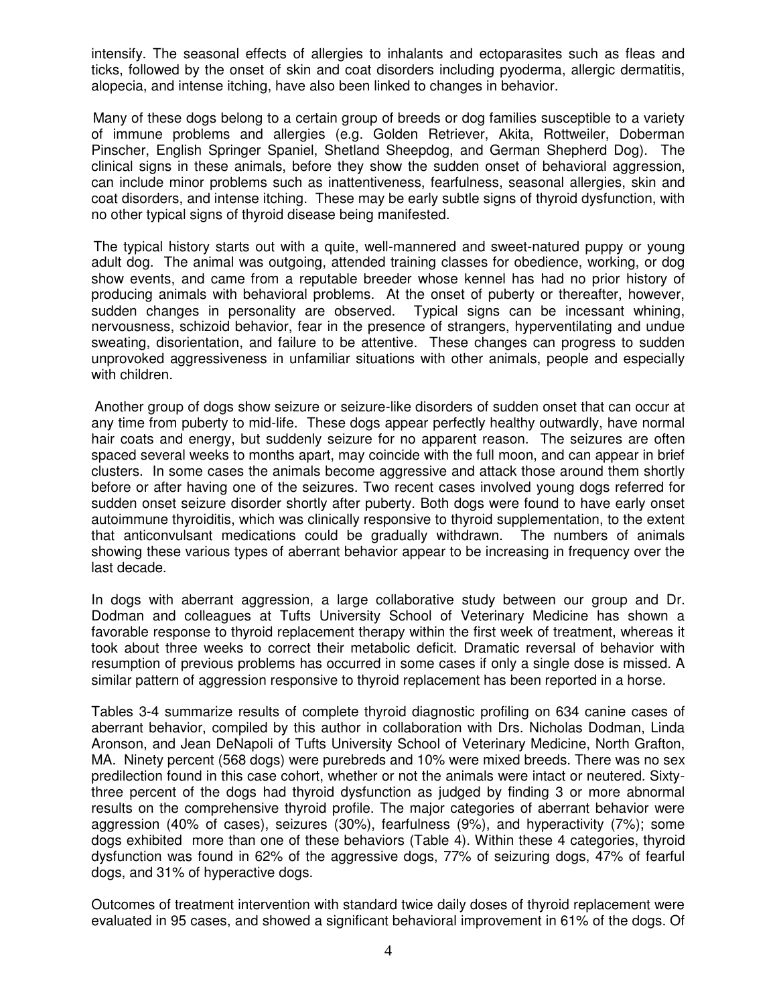intensify. The seasonal effects of allergies to inhalants and ectoparasites such as fleas and ticks, followed by the onset of skin and coat disorders including pyoderma, allergic dermatitis, alopecia, and intense itching, have also been linked to changes in behavior.

Many of these dogs belong to a certain group of breeds or dog families susceptible to a variety of immune problems and allergies (e.g. Golden Retriever, Akita, Rottweiler, Doberman Pinscher, English Springer Spaniel, Shetland Sheepdog, and German Shepherd Dog). The clinical signs in these animals, before they show the sudden onset of behavioral aggression, can include minor problems such as inattentiveness, fearfulness, seasonal allergies, skin and coat disorders, and intense itching. These may be early subtle signs of thyroid dysfunction, with no other typical signs of thyroid disease being manifested.

 The typical history starts out with a quite, well-mannered and sweet-natured puppy or young adult dog. The animal was outgoing, attended training classes for obedience, working, or dog show events, and came from a reputable breeder whose kennel has had no prior history of producing animals with behavioral problems. At the onset of puberty or thereafter, however, sudden changes in personality are observed. Typical signs can be incessant whining, nervousness, schizoid behavior, fear in the presence of strangers, hyperventilating and undue sweating, disorientation, and failure to be attentive. These changes can progress to sudden unprovoked aggressiveness in unfamiliar situations with other animals, people and especially with children.

Another group of dogs show seizure or seizure-like disorders of sudden onset that can occur at any time from puberty to mid-life. These dogs appear perfectly healthy outwardly, have normal hair coats and energy, but suddenly seizure for no apparent reason. The seizures are often spaced several weeks to months apart, may coincide with the full moon, and can appear in brief clusters. In some cases the animals become aggressive and attack those around them shortly before or after having one of the seizures. Two recent cases involved young dogs referred for sudden onset seizure disorder shortly after puberty. Both dogs were found to have early onset autoimmune thyroiditis, which was clinically responsive to thyroid supplementation, to the extent that anticonvulsant medications could be gradually withdrawn. The numbers of animals showing these various types of aberrant behavior appear to be increasing in frequency over the last decade.

In dogs with aberrant aggression, a large collaborative study between our group and Dr. Dodman and colleagues at Tufts University School of Veterinary Medicine has shown a favorable response to thyroid replacement therapy within the first week of treatment, whereas it took about three weeks to correct their metabolic deficit. Dramatic reversal of behavior with resumption of previous problems has occurred in some cases if only a single dose is missed. A similar pattern of aggression responsive to thyroid replacement has been reported in a horse.

Tables 3-4 summarize results of complete thyroid diagnostic profiling on 634 canine cases of aberrant behavior, compiled by this author in collaboration with Drs. Nicholas Dodman, Linda Aronson, and Jean DeNapoli of Tufts University School of Veterinary Medicine, North Grafton, MA. Ninety percent (568 dogs) were purebreds and 10% were mixed breeds. There was no sex predilection found in this case cohort, whether or not the animals were intact or neutered. Sixtythree percent of the dogs had thyroid dysfunction as judged by finding 3 or more abnormal results on the comprehensive thyroid profile. The major categories of aberrant behavior were aggression (40% of cases), seizures (30%), fearfulness (9%), and hyperactivity (7%); some dogs exhibited more than one of these behaviors (Table 4). Within these 4 categories, thyroid dysfunction was found in 62% of the aggressive dogs, 77% of seizuring dogs, 47% of fearful dogs, and 31% of hyperactive dogs.

Outcomes of treatment intervention with standard twice daily doses of thyroid replacement were evaluated in 95 cases, and showed a significant behavioral improvement in 61% of the dogs. Of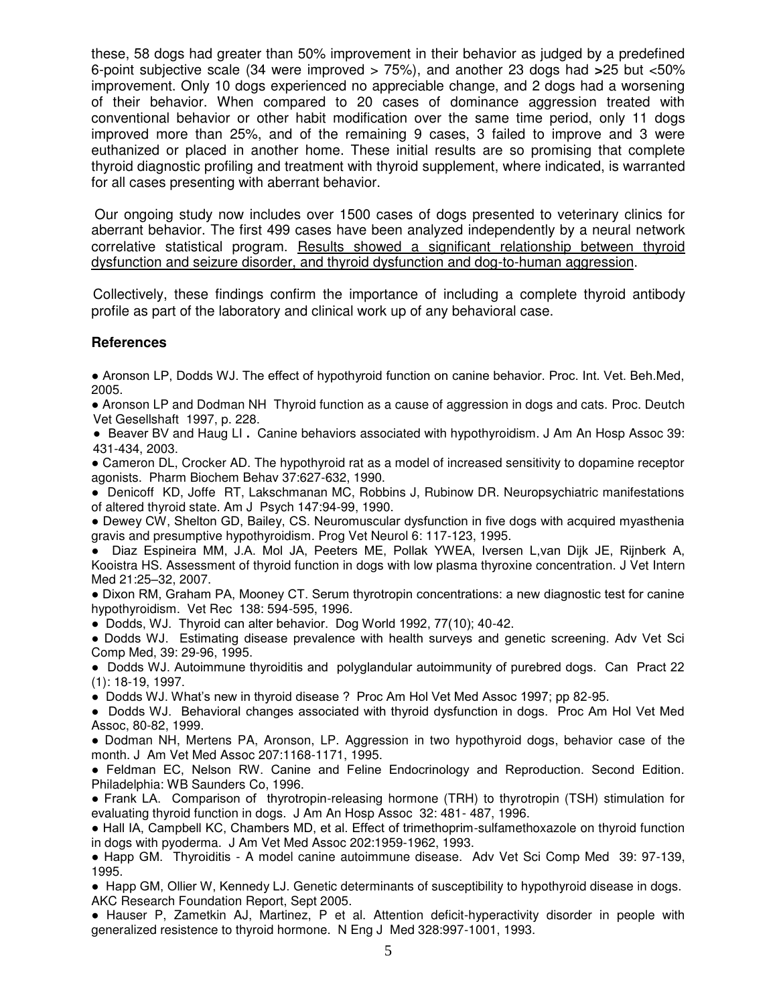these, 58 dogs had greater than 50% improvement in their behavior as judged by a predefined 6-point subjective scale (34 were improved > 75%), and another 23 dogs had **>**25 but <50% improvement. Only 10 dogs experienced no appreciable change, and 2 dogs had a worsening of their behavior. When compared to 20 cases of dominance aggression treated with conventional behavior or other habit modification over the same time period, only 11 dogs improved more than 25%, and of the remaining 9 cases, 3 failed to improve and 3 were euthanized or placed in another home. These initial results are so promising that complete thyroid diagnostic profiling and treatment with thyroid supplement, where indicated, is warranted for all cases presenting with aberrant behavior.

Our ongoing study now includes over 1500 cases of dogs presented to veterinary clinics for aberrant behavior. The first 499 cases have been analyzed independently by a neural network correlative statistical program. Results showed a significant relationship between thyroid dysfunction and seizure disorder, and thyroid dysfunction and dog-to-human aggression.

Collectively, these findings confirm the importance of including a complete thyroid antibody profile as part of the laboratory and clinical work up of any behavioral case.

# **References**

● Aronson LP, Dodds WJ. The effect of hypothyroid function on canine behavior. Proc. Int. Vet. Beh.Med, 2005.

• Aronson LP and Dodman NH Thyroid function as a cause of aggression in dogs and cats. Proc. Deutch Vet Gesellshaft 1997, p. 228.

● Beaver BV and Haug LI **.** Canine behaviors associated with hypothyroidism. J Am An Hosp Assoc 39: 431-434, 2003.

● Cameron DL, Crocker AD. The hypothyroid rat as a model of increased sensitivity to dopamine receptor agonists. Pharm Biochem Behav 37:627-632, 1990.

● Denicoff KD, Joffe RT, Lakschmanan MC, Robbins J, Rubinow DR. Neuropsychiatric manifestations of altered thyroid state. Am J Psych 147:94-99, 1990.

● Dewey CW, Shelton GD, Bailey, CS. Neuromuscular dysfunction in five dogs with acquired myasthenia gravis and presumptive hypothyroidism. Prog Vet Neurol 6: 117-123, 1995.

● Diaz Espineira MM, J.A. Mol JA, Peeters ME, Pollak YWEA, Iversen L,van Dijk JE, Rijnberk A, Kooistra HS. Assessment of thyroid function in dogs with low plasma thyroxine concentration. J Vet Intern Med 21:25–32, 2007.

● Dixon RM, Graham PA, Mooney CT. Serum thyrotropin concentrations: a new diagnostic test for canine hypothyroidism. Vet Rec 138: 594-595, 1996.

● Dodds, WJ. Thyroid can alter behavior. Dog World 1992, 77(10); 40-42.

● Dodds WJ. Estimating disease prevalence with health surveys and genetic screening. Adv Vet Sci Comp Med, 39: 29-96, 1995.

● Dodds WJ. Autoimmune thyroiditis and polyglandular autoimmunity of purebred dogs. Can Pract 22 (1): 18-19, 1997.

● Dodds WJ. What's new in thyroid disease ? Proc Am Hol Vet Med Assoc 1997; pp 82-95.

● Dodds WJ. Behavioral changes associated with thyroid dysfunction in dogs. Proc Am Hol Vet Med Assoc, 80-82, 1999.

• Dodman NH, Mertens PA, Aronson, LP. Aggression in two hypothyroid dogs, behavior case of the month. J Am Vet Med Assoc 207:1168-1171, 1995.

● Feldman EC, Nelson RW. Canine and Feline Endocrinology and Reproduction. Second Edition. Philadelphia: WB Saunders Co, 1996.

● Frank LA. Comparison of thyrotropin-releasing hormone (TRH) to thyrotropin (TSH) stimulation for evaluating thyroid function in dogs. J Am An Hosp Assoc 32: 481- 487, 1996.

● Hall IA, Campbell KC, Chambers MD, et al. Effect of trimethoprim-sulfamethoxazole on thyroid function in dogs with pyoderma. J Am Vet Med Assoc 202:1959-1962, 1993.

● Happ GM. Thyroiditis - A model canine autoimmune disease. Adv Vet Sci Comp Med 39: 97-139, 1995.

● Happ GM, Ollier W, Kennedy LJ. Genetic determinants of susceptibility to hypothyroid disease in dogs. AKC Research Foundation Report, Sept 2005.

● Hauser P, Zametkin AJ, Martinez, P et al. Attention deficit-hyperactivity disorder in people with generalized resistence to thyroid hormone. N Eng J Med 328:997-1001, 1993.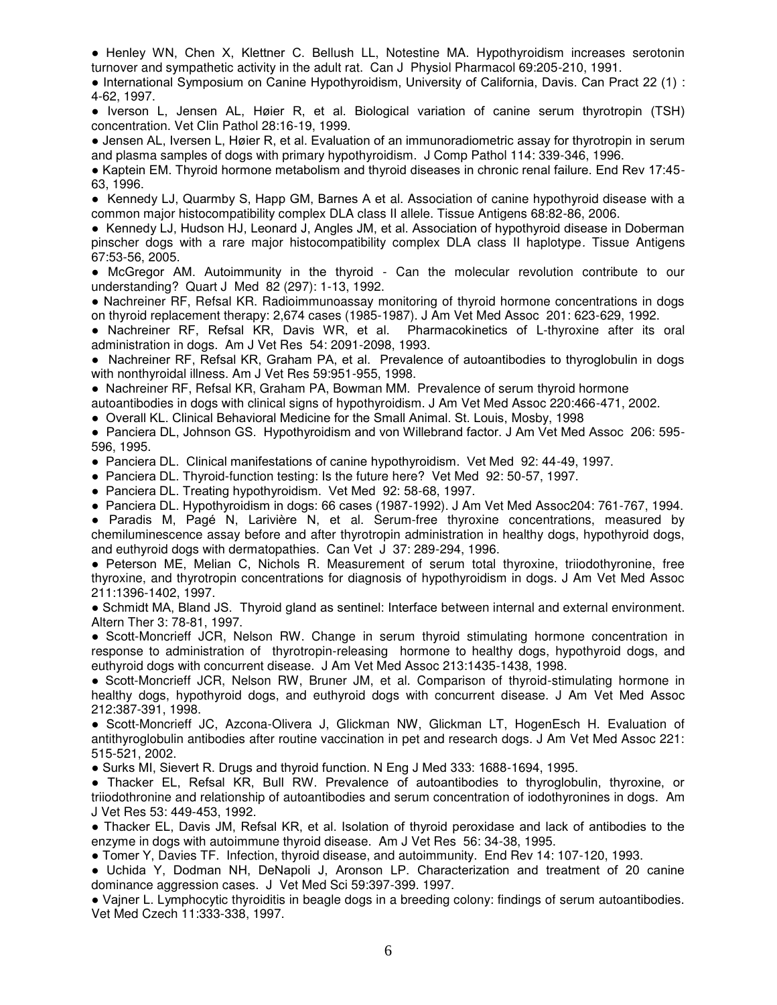● Henley WN, Chen X, Klettner C. Bellush LL, Notestine MA. Hypothyroidism increases serotonin turnover and sympathetic activity in the adult rat. Can J Physiol Pharmacol 69:205-210, 1991.

● International Symposium on Canine Hypothyroidism, University of California, Davis. Can Pract 22 (1) : 4-62, 1997.

● Iverson L, Jensen AL, Høier R, et al. Biological variation of canine serum thyrotropin (TSH) concentration. Vet Clin Pathol 28:16-19, 1999.

● Jensen AL, Iversen L, Høier R, et al. Evaluation of an immunoradiometric assay for thyrotropin in serum and plasma samples of dogs with primary hypothyroidism. J Comp Pathol 114: 339-346, 1996.

● Kaptein EM. Thyroid hormone metabolism and thyroid diseases in chronic renal failure. End Rev 17:45- 63, 1996.

● Kennedy LJ, Quarmby S, Happ GM, Barnes A et al. Association of canine hypothyroid disease with a common major histocompatibility complex DLA class II allele. Tissue Antigens 68:82-86, 2006.

● Kennedy LJ, Hudson HJ, Leonard J, Angles JM, et al. Association of hypothyroid disease in Doberman pinscher dogs with a rare major histocompatibility complex DLA class II haplotype*.* Tissue Antigens 67:53-56, 2005.

● McGregor AM. Autoimmunity in the thyroid - Can the molecular revolution contribute to our understanding? Quart J Med 82 (297): 1-13, 1992.

● Nachreiner RF, Refsal KR. Radioimmunoassay monitoring of thyroid hormone concentrations in dogs on thyroid replacement therapy: 2,674 cases (1985-1987). J Am Vet Med Assoc 201: 623-629, 1992.

● Nachreiner RF, Refsal KR, Davis WR, et al. Pharmacokinetics of L-thyroxine after its oral administration in dogs. Am J Vet Res 54: 2091-2098, 1993.

● Nachreiner RF, Refsal KR, Graham PA, et al. Prevalence of autoantibodies to thyroglobulin in dogs with nonthyroidal illness. Am J Vet Res 59:951-955, 1998.

● Nachreiner RF, Refsal KR, Graham PA, Bowman MM. Prevalence of serum thyroid hormone

autoantibodies in dogs with clinical signs of hypothyroidism. J Am Vet Med Assoc 220:466-471, 2002.

● Overall KL. Clinical Behavioral Medicine for the Small Animal. St. Louis, Mosby, 1998

● Panciera DL, Johnson GS. Hypothyroidism and von Willebrand factor. J Am Vet Med Assoc 206: 595- 596, 1995.

● Panciera DL. Clinical manifestations of canine hypothyroidism. Vet Med 92: 44-49, 1997.

● Panciera DL. Thyroid-function testing: Is the future here? Vet Med 92: 50-57, 1997.

● Panciera DL. Treating hypothyroidism. Vet Med 92: 58-68, 1997.

● Panciera DL. Hypothyroidism in dogs: 66 cases (1987-1992). J Am Vet Med Assoc204: 761-767, 1994.

● Paradis M, Pagé N, Larivière N, et al. Serum-free thyroxine concentrations, measured by chemiluminescence assay before and after thyrotropin administration in healthy dogs, hypothyroid dogs, and euthyroid dogs with dermatopathies. Can Vet J 37: 289-294, 1996.

● Peterson ME, Melian C, Nichols R. Measurement of serum total thyroxine, triiodothyronine, free thyroxine, and thyrotropin concentrations for diagnosis of hypothyroidism in dogs. J Am Vet Med Assoc 211:1396-1402, 1997.

● Schmidt MA, Bland JS. Thyroid gland as sentinel: Interface between internal and external environment. Altern Ther 3: 78-81, 1997.

● Scott-Moncrieff JCR, Nelson RW. Change in serum thyroid stimulating hormone concentration in response to administration of thyrotropin-releasing hormone to healthy dogs, hypothyroid dogs, and euthyroid dogs with concurrent disease. J Am Vet Med Assoc 213:1435-1438, 1998.

● Scott-Moncrieff JCR, Nelson RW, Bruner JM, et al. Comparison of thyroid-stimulating hormone in healthy dogs, hypothyroid dogs, and euthyroid dogs with concurrent disease. J Am Vet Med Assoc 212:387-391, 1998.

● Scott-Moncrieff JC, Azcona-Olivera J, Glickman NW, Glickman LT, HogenEsch H. Evaluation of antithyroglobulin antibodies after routine vaccination in pet and research dogs. J Am Vet Med Assoc 221: 515-521, 2002.

● Surks MI, Sievert R. Drugs and thyroid function. N Eng J Med 333: 1688-1694, 1995.

● Thacker EL, Refsal KR, Bull RW. Prevalence of autoantibodies to thyroglobulin, thyroxine, or triiodothronine and relationship of autoantibodies and serum concentration of iodothyronines in dogs. Am J Vet Res 53: 449-453, 1992.

● Thacker EL, Davis JM, Refsal KR, et al. Isolation of thyroid peroxidase and lack of antibodies to the enzyme in dogs with autoimmune thyroid disease. Am J Vet Res 56: 34-38, 1995.

● Tomer Y, Davies TF. Infection, thyroid disease, and autoimmunity. End Rev 14: 107-120, 1993.

● Uchida Y, Dodman NH, DeNapoli J, Aronson LP. Characterization and treatment of 20 canine dominance aggression cases. J Vet Med Sci 59:397-399. 1997.

● Vajner L. Lymphocytic thyroiditis in beagle dogs in a breeding colony: findings of serum autoantibodies. Vet Med Czech 11:333-338, 1997.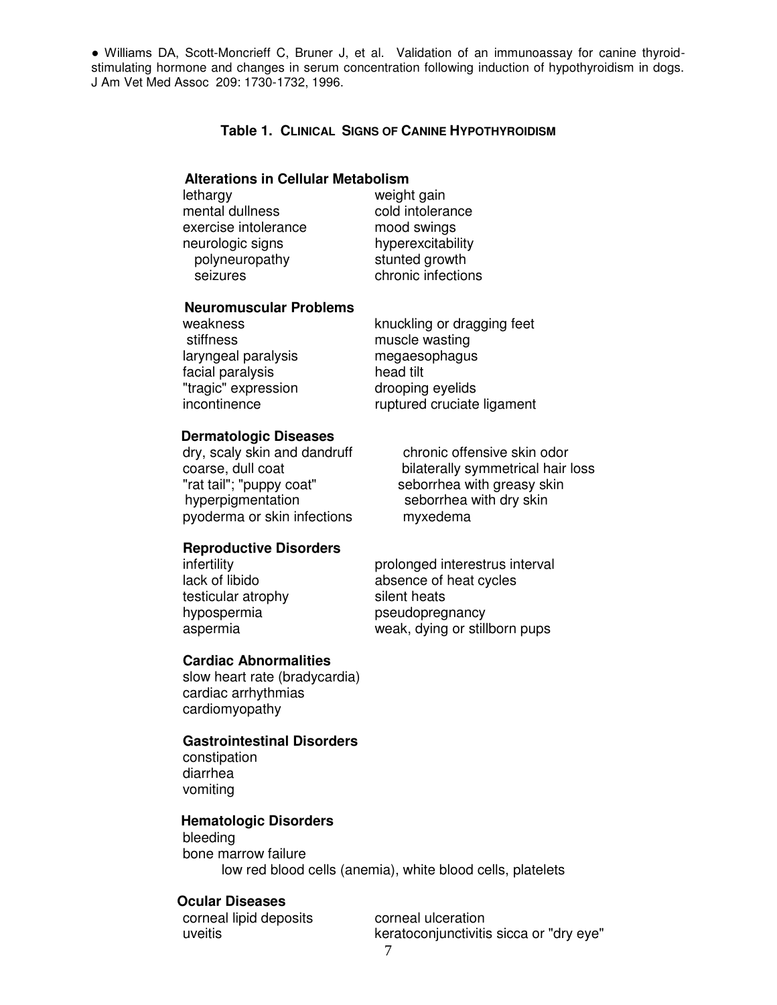● Williams DA, Scott-Moncrieff C, Bruner J, et al. Validation of an immunoassay for canine thyroidstimulating hormone and changes in serum concentration following induction of hypothyroidism in dogs. J Am Vet Med Assoc 209: 1730-1732, 1996.

### **Table 1. CLINICAL SIGNS OF CANINE HYPOTHYROIDISM**

### **Alterations in Cellular Metabolism**

 lethargy weight gain mental dullness cold intolerance exercise intolerance mood swings neurologic signs hyperexcitability polyneuropathy stunted growth seizures chronic infections

#### **Neuromuscular Problems**

stiffness muscle wasting laryngeal paralysis megaesophagus facial paralysis head tilt "tragic" expression drooping eyelids

weakness knuckling or dragging feet incontinence ruptured cruciate ligament

#### **Dermatologic Diseases**

dry, scaly skin and dandruff chronic offensive skin odor<br>coarse, dull coat coars bilaterally symmetrical hair "rat tail"; "puppy coat" seborrhea with greasy skin hyperpigmentation seborrhea with dry skin pyoderma or skin infections myxedema

bilaterally symmetrical hair loss

## **Reproductive Disorders**

testicular atrophy silent heats

infertility prolonged interestrus interval lack of libido absence of heat cycles hypospermia pseudopregnancy aspermia weak, dying or stillborn pups

#### **Cardiac Abnormalities**

 slow heart rate (bradycardia) cardiac arrhythmias cardiomyopathy

## **Gastrointestinal Disorders**

 constipation diarrhea vomiting

## **Hematologic Disorders**

 bleeding bone marrow failure low red blood cells (anemia), white blood cells, platelets

## **Ocular Diseases**

corneal lipid deposits corneal ulceration

uveitis keratoconjunctivitis sicca or "dry eye"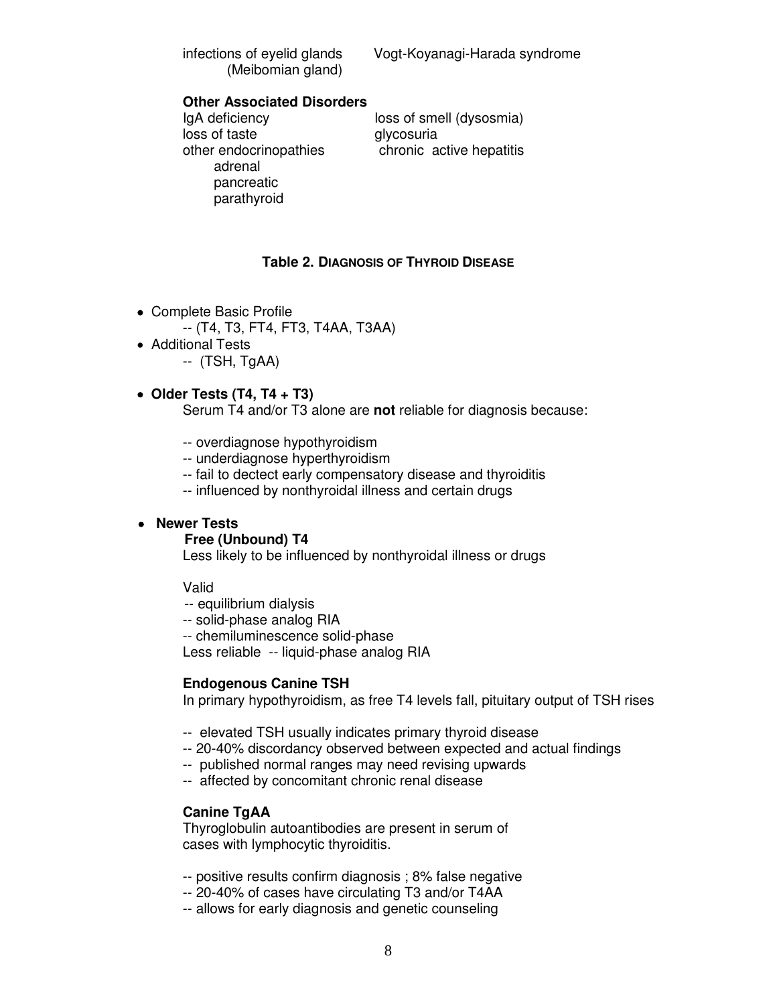(Meibomian gland)

infections of eyelid glands Vogt-Koyanagi-Harada syndrome

# **Other Associated Disorders**

IgA deficiency loss of smell (dysosmia) loss of taste glycosuria other endocrinopathies chronic active hepatitis adrenal pancreatic parathyroid

## **Table 2. DIAGNOSIS OF THYROID DISEASE**

- Complete Basic Profile
	- -- (T4, T3, FT4, FT3, T4AA, T3AA)
- Additional Tests
	- -- (TSH, TgAA)
- **Older Tests (T4, T4 + T3)**

Serum T4 and/or T3 alone are **not** reliable for diagnosis because:

- -- overdiagnose hypothyroidism
- -- underdiagnose hyperthyroidism
- -- fail to dectect early compensatory disease and thyroiditis
- -- influenced by nonthyroidal illness and certain drugs

# **Newer Tests**

### **Free (Unbound) T4**

Less likely to be influenced by nonthyroidal illness or drugs

Valid

- -- equilibrium dialysis
- -- solid-phase analog RIA
- -- chemiluminescence solid-phase

Less reliable -- liquid-phase analog RIA

### **Endogenous Canine TSH**

In primary hypothyroidism, as free T4 levels fall, pituitary output of TSH rises

- -- elevated TSH usually indicates primary thyroid disease
- -- 20-40% discordancy observed between expected and actual findings
- -- published normal ranges may need revising upwards
- -- affected by concomitant chronic renal disease

### **Canine TgAA**

 Thyroglobulin autoantibodies are present in serum of cases with lymphocytic thyroiditis.

- -- positive results confirm diagnosis ; 8% false negative
- -- 20-40% of cases have circulating T3 and/or T4AA
- -- allows for early diagnosis and genetic counseling